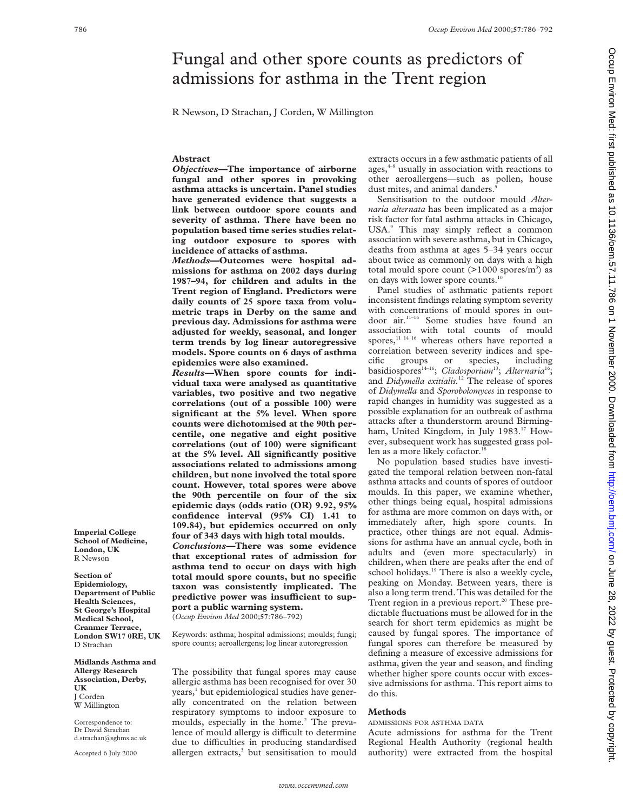# Fungal and other spore counts as predictors of admissions for asthma in the Trent region

R Newson, D Strachan, J Corden, W Millington

# **Abstract**

*Objectives—***The importance of airborne fungal and other spores in provoking asthma attacks is uncertain. Panel studies have generated evidence that suggests a link between outdoor spore counts and severity of asthma. There have been no population based time series studies relating outdoor exposure to spores with incidence of attacks of asthma.**

*Methods—***Outcomes were hospital admissions for asthma on 2002 days during 1987–94, for children and adults in the Trent region of England. Predictors were daily counts of 25 spore taxa from volumetric traps in Derby on the same and previous day. Admissions for asthma were adjusted for weekly, seasonal, and longer term trends by log linear autoregressive models. Spore counts on 6 days of asthma epidemics were also examined.**

*Results—***When spore counts for individual taxa were analysed as quantitative variables, two positive and two negative correlations (out of a possible 100) were significant at the 5% level. When spore counts were dichotomised at the 90th percentile, one negative and eight positive correlations (out of 100) were significant at the 5% level. All significantly positive associations related to admissions among children, but none involved the total spore count. However, total spores were above the 90th percentile on four of the six epidemic days (odds ratio (OR) 9.92, 95% confidence interval (95% CI) 1.41 to 109.84), but epidemics occurred on only four of 343 days with high total moulds.**

*Conclusions—***There was some evidence that exceptional rates of admission for asthma tend to occur on days with high total mould spore counts, but no specific taxon was consistently implicated. The** predictive power was insufficient to sup**port a public warning system.** (*Occup Environ Med* 2000;**57**:786–792)

Keywords: asthma; hospital admissions; moulds; fungi; spore counts; aeroallergens; log linear autoregression

The possibility that fungal spores may cause allergic asthma has been recognised for over 30 years,<sup>1</sup> but epidemiological studies have generally concentrated on the relation between respiratory symptoms to indoor exposure to moulds, especially in the home.<sup>2</sup> The prevalence of mould allergy is difficult to determine due to difficulties in producing standardised allergen extracts, $3$  but sensitisation to mould

extracts occurs in a few asthmatic patients of all ages,<sup>4-8</sup> usually in association with reactions to other aeroallergens—such as pollen, house dust mites, and animal danders.

Sensitisation to the outdoor mould *Alternaria alternata* has been implicated as a major risk factor for fatal asthma attacks in Chicago, USA.<sup>9</sup> This may simply reflect a common association with severe asthma, but in Chicago, deaths from asthma at ages 5–34 years occur about twice as commonly on days with a high total mould spore count  $(>1000 \text{ spores/m}^3)$  as on days with lower spore counts.<sup>10</sup>

Panel studies of asthmatic patients report inconsistent findings relating symptom severity with concentrations of mould spores in outdoor air.<sup>11-16</sup> Some studies have found an association with total counts of mould spores,<sup>11 14 16</sup> whereas others have reported a correlation between severity indices and specific groups or species, including basidiospores<sup>14-16</sup>; *Cladosporium<sup>13</sup>*; *Alternaria<sup>16</sup>*; and *Didymella exitialis.*<sup>12</sup> The release of spores of *Didymella* and *Sporobolomyces* in response to rapid changes in humidity was suggested as a possible explanation for an outbreak of asthma attacks after a thunderstorm around Birmingham, United Kingdom, in July 1983.<sup>17</sup> However, subsequent work has suggested grass pollen as a more likely cofactor.<sup>18</sup>

No population based studies have investigated the temporal relation between non-fatal asthma attacks and counts of spores of outdoor moulds. In this paper, we examine whether, other things being equal, hospital admissions for asthma are more common on days with, or immediately after, high spore counts. In practice, other things are not equal. Admissions for asthma have an annual cycle, both in adults and (even more spectacularly) in children, when there are peaks after the end of school holidays.<sup>19</sup> There is also a weekly cycle, peaking on Monday. Between years, there is also a long term trend. This was detailed for the Trent region in a previous report.<sup>20</sup> These predictable fluctuations must be allowed for in the search for short term epidemics as might be caused by fungal spores. The importance of fungal spores can therefore be measured by defining a measure of excessive admissions for asthma, given the year and season, and finding whether higher spore counts occur with excessive admissions for asthma. This report aims to do this.

# **Methods**

ADMISSIONS FOR ASTHMA DATA

Acute admissions for asthma for the Trent Regional Health Authority (regional health authority) were extracted from the hospital Occup Environ Med: first published as 10.11136/oem.57.11.786 on 1 November 2000. Downloaded from http://oem.bmj.com/ on June 28, 2022 by guest. Protected by copyrigh Once 28, 2022 by guest. Protected by copyright. 11.268 Here 2000. Downloaded from Box Burgished from First published as 10.11.968 in the strated by copyright. The subsets published as 10.11.786 on 1 November 2000. Download

**Imperial College School of Medicine, London, UK** R Newson

**Section of Epidemiology, Department of Public Health Sciences, St George's Hospital Medical School, Cranmer Terrace, London SW17 0RE, UK** D Strachan

**Midlands Asthma and Allergy Research Association, Derby, UK** J Corden W Millington

Correspondence to: Dr David Strachan d.strachan@sghms.ac.uk

Accepted 6 July 2000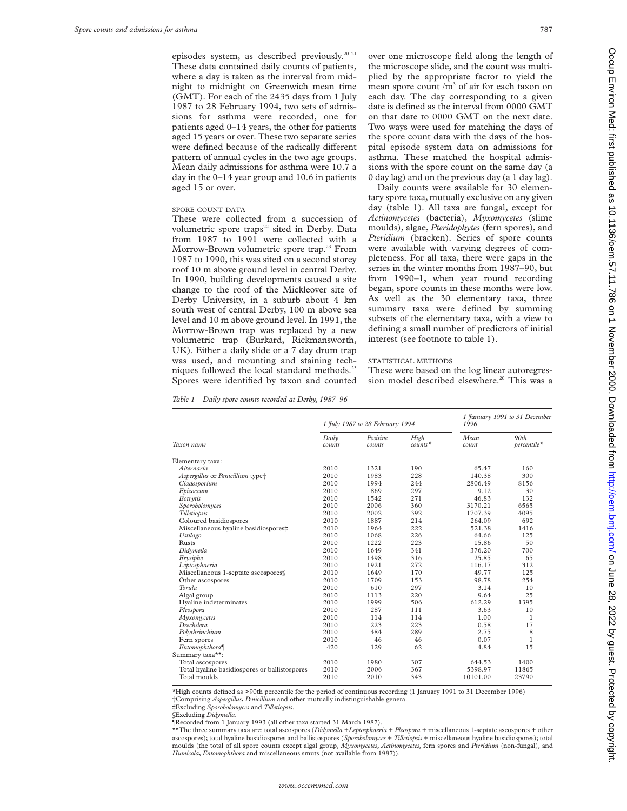episodes system, as described previously.<sup>20 21</sup> These data contained daily counts of patients, where a day is taken as the interval from midnight to midnight on Greenwich mean time (GMT). For each of the 2435 days from 1 July 1987 to 28 February 1994, two sets of admissions for asthma were recorded, one for patients aged 0–14 years, the other for patients aged 15 years or over. These two separate series were defined because of the radically different pattern of annual cycles in the two age groups. Mean daily admissions for asthma were 10.7 a day in the 0–14 year group and 10.6 in patients aged 15 or over.

#### SPORE COUNT DATA

These were collected from a succession of volumetric spore traps<sup>22</sup> sited in Derby. Data from 1987 to 1991 were collected with a Morrow-Brown volumetric spore trap.<sup>23</sup> From 1987 to 1990, this was sited on a second storey roof 10 m above ground level in central Derby. In 1990, building developments caused a site change to the roof of the Mickleover site of Derby University, in a suburb about 4 km south west of central Derby, 100 m above sea level and 10 m above ground level. In 1991, the Morrow-Brown trap was replaced by a new volumetric trap (Burkard, Rickmansworth, UK). Either a daily slide or a 7 day drum trap was used, and mounting and staining techniques followed the local standard methods.<sup>23</sup> Spores were identified by taxon and counted

over one microscope field along the length of the microscope slide, and the count was multiplied by the appropriate factor to yield the mean spore count  $/m<sup>3</sup>$  of air for each taxon on each day. The day corresponding to a given date is defined as the interval from 0000 GMT on that date to 0000 GMT on the next date. Two ways were used for matching the days of the spore count data with the days of the hospital episode system data on admissions for asthma. These matched the hospital admissions with the spore count on the same day (a 0 day lag) and on the previous day (a 1 day lag).

Daily counts were available for 30 elementary spore taxa, mutually exclusive on any given day (table 1). All taxa are fungal, except for *Actinomycetes* (bacteria), *Myxomycetes* (slime moulds), algae, *Pteridophytes* (fern spores), and *Pteridium* (bracken). Series of spore counts were available with varying degrees of completeness. For all taxa, there were gaps in the series in the winter months from 1987–90, but from 1990–1, when year round recording began, spore counts in these months were low. As well as the 30 elementary taxa, three summary taxa were defined by summing subsets of the elementary taxa, with a view to defining a small number of predictors of initial interest (see footnote to table 1).

#### STATISTICAL METHODS

These were based on the log linear autoregression model described elsewhere.<sup>20</sup> This was a

*Table 1 Daily spore counts recorded at Derby, 1987–96*

|                                               |                 | 1 July 1987 to 28 February 1994 |                   | 1996          | 1 January 1991 to 31 December |
|-----------------------------------------------|-----------------|---------------------------------|-------------------|---------------|-------------------------------|
| Taxon name                                    | Daily<br>counts | Positive<br>counts              | High<br>$counts*$ | Mean<br>count | 90th<br>percentile*           |
| Elementary taxa:                              |                 |                                 |                   |               |                               |
| Alternaria                                    | 2010            | 1321                            | 190               | 65.47         | 160                           |
| Aspergillus or Penicillium type <sup>+</sup>  | 2010            | 1983                            | 228               | 140.38        | 300                           |
| Cladosporium                                  | 2010            | 1994                            | 244               | 2806.49       | 8156                          |
| Ерісоссит                                     | 2010            | 869                             | 297               | 9.12          | 30                            |
| Botrytis                                      | 2010            | 1542                            | 271               | 46.83         | 132                           |
| Sporobolomyces                                | 2010            | 2006                            | 360               | 3170.21       | 6565                          |
| Tilletiopsis                                  | 2010            | 2002                            | 392               | 1707.39       | 4095                          |
| Coloured basidiospores                        | 2010            | 1887                            | 214               | 264.09        | 692                           |
| Miscellaneous hyaline basidiospores‡          | 2010            | 1964                            | 222               | 521.38        | 1416                          |
| Ustilago                                      | 2010            | 1068                            | 226               | 64.66         | 125                           |
| <b>Rusts</b>                                  | 2010            | 1222                            | 223               | 15.86         | 50                            |
| Didymella                                     | 2010            | 1649                            | 341               | 376.20        | 700                           |
| Erysiphe                                      | 2010            | 1498                            | 316               | 25.85         | 65                            |
| Leptosphaeria                                 | 2010            | 1921                            | 272               | 116.17        | 312                           |
| Miscellaneous 1-septate ascospores§           | 2010            | 1649                            | 170               | 49.77         | 125                           |
| Other ascospores                              | 2010            | 1709                            | 153               | 98.78         | 254                           |
| Torula                                        | 2010            | 610                             | 297               | 3.14          | 10                            |
| Algal group                                   | 2010            | 1113                            | 220               | 9.64          | 25                            |
| Hyaline indeterminates                        | 2010            | 1999                            | 506               | 612.29        | 1395                          |
| Pleospora                                     | 2010            | 287                             | 111               | 3.63          | 10                            |
| Myxomycetes                                   | 2010            | 114                             | 114               | 1.00          | 1                             |
| Drechslera                                    | 2010            | 223                             | 223               | 0.58          | 17                            |
| Polythrinchium                                | 2010            | 484                             | 289               | 2.75          | 8                             |
| Fern spores                                   | 2010            | 46                              | 46                | 0.07          | 1                             |
| Entomophthora                                 | 420             | 129                             | 62                | 4.84          | 15                            |
| Summary taxa**:                               |                 |                                 |                   |               |                               |
| Total ascospores                              | 2010            | 1980                            | 307               | 644.53        | 1400                          |
| Total hyaline basidiospores or ballistospores | 2010            | 2006                            | 367               | 5398.97       | 11865                         |
| Total moulds                                  | 2010            | 2010                            | 343               | 10101.00      | 23790                         |

\*High counts defined as >90th percentile for the period of continuous recording (1 January 1991 to 31 December 1996) †Comprising *Aspergillus*, *Penicillium* and other mutually indistinguishable genera.

‡Excluding *Sporobolomyces* and *Tilletiopsis*.

§Excluding *Didymella*.

¶Recorded from 1 January 1993 (all other taxa started 31 March 1987).

\*\*The three summary taxa are: total ascospores (*Didymella* +*Leptosphaeria* + *Pleospora* + miscellaneous 1-septate ascospores + other ascospores); total hyaline basidiospores and ballistospores (*Sporobolomyces* + *Tilletiopsis* + miscellaneous hyaline basidiospores); total moulds (the total of all spore counts except algal group, *Myxomycetes*, *Actinomycetes*, fern spores and *Pteridium* (non-fungal), and *Humicola*, *Entomophthora* and miscellaneous smuts (not available from 1987)).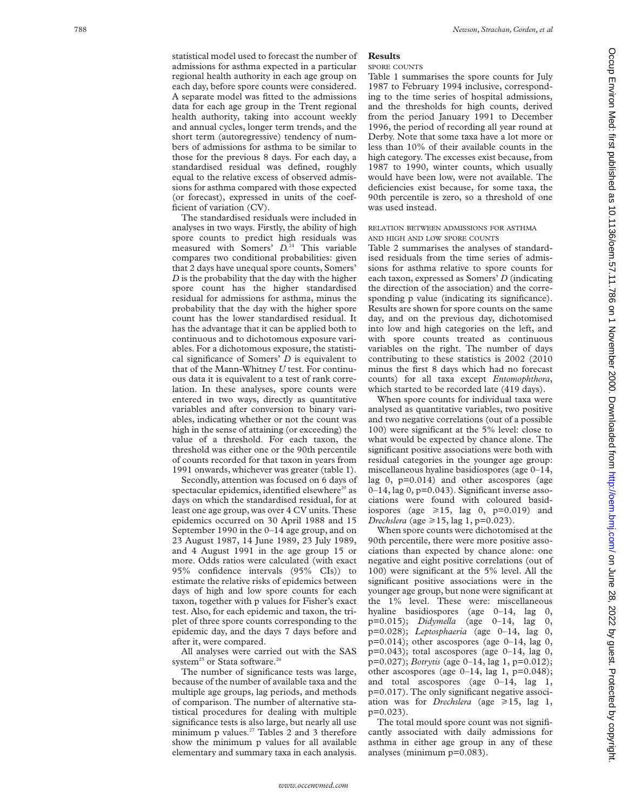statistical model used to forecast the number of admissions for asthma expected in a particular regional health authority in each age group on each day, before spore counts were considered. A separate model was fitted to the admissions data for each age group in the Trent regional health authority, taking into account weekly and annual cycles, longer term trends, and the short term (autoregressive) tendency of numbers of admissions for asthma to be similar to those for the previous 8 days. For each day, a standardised residual was defined, roughly equal to the relative excess of observed admissions for asthma compared with those expected (or forecast), expressed in units of the coefficient of variation (CV).

The standardised residuals were included in analyses in two ways. Firstly, the ability of high spore counts to predict high residuals was measured with Somers'  $D<sup>24</sup>$  This variable compares two conditional probabilities: given that 2 days have unequal spore counts, Somers' *D* is the probability that the day with the higher spore count has the higher standardised residual for admissions for asthma, minus the probability that the day with the higher spore count has the lower standardised residual. It has the advantage that it can be applied both to continuous and to dichotomous exposure variables. For a dichotomous exposure, the statistical significance of Somers' *D* is equivalent to that of the Mann-Whitney *U* test. For continuous data it is equivalent to a test of rank correlation. In these analyses, spore counts were entered in two ways, directly as quantitative variables and after conversion to binary variables, indicating whether or not the count was high in the sense of attaining (or exceeding) the value of a threshold. For each taxon, the threshold was either one or the 90th percentile of counts recorded for that taxon in years from 1991 onwards, whichever was greater (table 1).

Secondly, attention was focused on 6 days of spectacular epidemics, identified elsewhere<sup>20</sup> as days on which the standardised residual, for at least one age group, was over 4 CV units. These epidemics occurred on 30 April 1988 and 15 September 1990 in the 0–14 age group, and on 23 August 1987, 14 June 1989, 23 July 1989, and 4 August 1991 in the age group 15 or more. Odds ratios were calculated (with exact 95% confidence intervals (95% CIs)) to estimate the relative risks of epidemics between days of high and low spore counts for each taxon, together with p values for Fisher's exact test. Also, for each epidemic and taxon, the triplet of three spore counts corresponding to the epidemic day, and the days 7 days before and after it, were compared.

All analyses were carried out with the SAS system<sup>25</sup> or Stata software.<sup>26</sup>

The number of significance tests was large, because of the number of available taxa and the multiple age groups, lag periods, and methods of comparison. The number of alternative statistical procedures for dealing with multiple significance tests is also large, but nearly all use minimum p values. $27$  Tables 2 and 3 therefore show the minimum p values for all available elementary and summary taxa in each analysis.

# **Results**

SPORE COUNTS

Table 1 summarises the spore counts for July 1987 to February 1994 inclusive, corresponding to the time series of hospital admissions, and the thresholds for high counts, derived from the period January 1991 to December 1996, the period of recording all year round at Derby. Note that some taxa have a lot more or less than 10% of their available counts in the high category. The excesses exist because, from 1987 to 1990, winter counts, which usually would have been low, were not available. The deficiencies exist because, for some taxa, the 90th percentile is zero, so a threshold of one was used instead.

# RELATION BETWEEN ADMISSIONS FOR ASTHMA AND HIGH AND LOW SPORE COUNTS

Table 2 summarises the analyses of standardised residuals from the time series of admissions for asthma relative to spore counts for each taxon, expressed as Somers' *D* (indicating the direction of the association) and the corresponding p value (indicating its significance). Results are shown for spore counts on the same day, and on the previous day, dichotomised into low and high categories on the left, and with spore counts treated as continuous variables on the right. The number of days contributing to these statistics is 2002 (2010 minus the first 8 days which had no forecast counts) for all taxa except *Entomophthora* , which started to be recorded late (419 days).

When spore counts for individual taxa were analysed as quantitative variables, two positive and two negative correlations (out of a possible 100) were significant at the 5% level: close to what would be expected by chance alone. The significant positive associations were both with residual categories in the younger age group: miscellaneous hyaline basidiospores (age 0–14, lag 0, p=0.014) and other ascospores (age 0–14, lag 0, p=0.043). Significant inverse associations were found with coloured basidiospores (age  $\geq 15$ , lag 0, p=0.019) and *Drechslera* (age ≥15, lag 1, p=0.023).

When spore counts were dichotomised at the 90th percentile, there were more positive associations than expected by chance alone: one negative and eight positive correlations (out of 100) were significant at the 5% level. All the significant positive associations were in the younger age group, but none were significant at the 1% level. These were: miscellaneous hyaline basidiospores (age 0–14, lag 0, p=0.015); *Didymella* (age 0–14, lag 0, p=0.028); *Leptosphaeria* (age 0–14, lag 0,  $p=0.014$ ); other ascospores (age  $0-14$ , lag 0,  $p=0.043$ ; total ascospores (age  $0-14$ , lag 0, p=0.027); *Botrytis* (age 0–14, lag 1, p=0.012); other ascospores (age  $0-14$ , lag 1,  $p=0.048$ ); and total ascospores (age 0–14, lag 1, p=0.017). The only significant negative association was for *Drechslera* (age  $\geq 15$ , lag 1, p=0.023).

The total mould spore count was not significantly associated with daily admissions for asthma in either age group in any of these analyses (minimum p=0.083).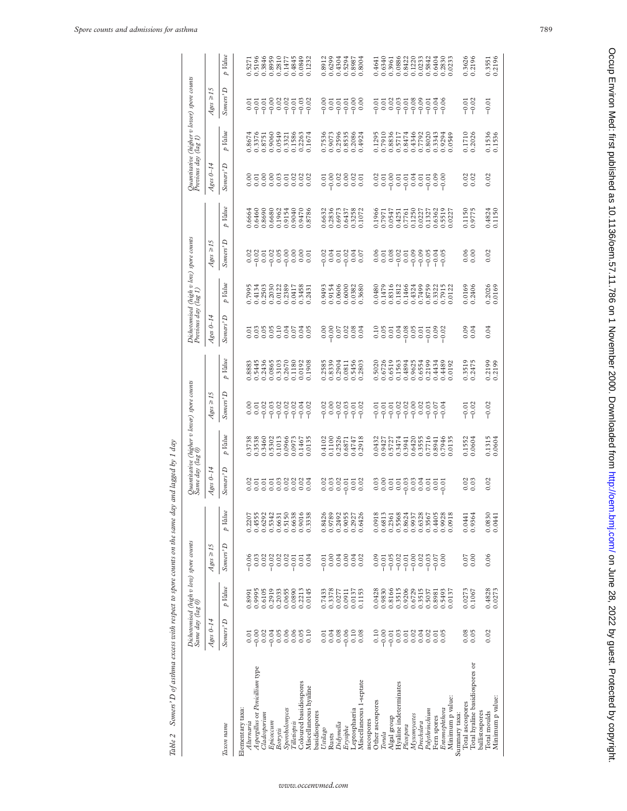| ١<br>i<br>š                     |
|---------------------------------|
| ï                               |
|                                 |
| Ĺ,<br>í                         |
| ׇ֚֓<br>š<br>I<br>ł              |
|                                 |
| j<br>Ŝ,                         |
|                                 |
|                                 |
|                                 |
|                                 |
| í                               |
| ı                               |
| $\ddot{\phantom{a}}$<br>i       |
| ì<br>ì<br>i<br>í                |
| i                               |
|                                 |
|                                 |
| I<br>ì                          |
| j<br>ż<br>Ç<br>j                |
| $\epsilon$<br>J                 |
| ,<br>ś<br>ï<br>j<br>ŝ<br>l<br>i |

|                                 | Same day (lag 0)                                    |                  | Dichotomised (high v low) spore counts |         |                      |                                                           | Quantitative (higher v lower) spore counts<br>Same day (lag 0) |                                                          | Previous day (lag 1) | Dichotomised (high v low) spore counts                                                           |                         |                                                                                  | Previous day (lag 1)                                           |                                                                     | Quantitative (higher v lower) spore counts |                                                                                                    |
|---------------------------------|-----------------------------------------------------|------------------|----------------------------------------|---------|----------------------|-----------------------------------------------------------|----------------------------------------------------------------|----------------------------------------------------------|----------------------|--------------------------------------------------------------------------------------------------|-------------------------|----------------------------------------------------------------------------------|----------------------------------------------------------------|---------------------------------------------------------------------|--------------------------------------------|----------------------------------------------------------------------------------------------------|
|                                 | $Ages\ 0-14$                                        |                  | $Ages \geq 15$                         |         | $Ages\ 0-14$         |                                                           | $4ges \geq 15$                                                 |                                                          | $A$ ges $0-14$       |                                                                                                  | $4ges \geq 15$          |                                                                                  | $A_{\mathcal{E}^{\mathcal{L}\mathcal{S}}}$ 0-14                |                                                                     | $4ges \geq 15$                             |                                                                                                    |
| Taxon name                      | Somers' D                                           | p Value          | Somers' D                              | p Value | Somers' <sup>D</sup> | p Value                                                   | Somers' <sup>D</sup>                                           | p Value                                                  | Somers' <sup>D</sup> | p Value                                                                                          | Somers' D               | p Value                                                                          | Somers' D                                                      | p Value                                                             | Somers' D                                  | p Value                                                                                            |
| Elementary taxa:                |                                                     |                  |                                        |         |                      |                                                           |                                                                |                                                          |                      |                                                                                                  |                         |                                                                                  |                                                                |                                                                     |                                            |                                                                                                    |
| Alternaria                      | 0.01                                                | 0.8991           |                                        | 0.2207  |                      |                                                           |                                                                |                                                          |                      |                                                                                                  |                         |                                                                                  |                                                                |                                                                     |                                            |                                                                                                    |
| Aspergillus or Penicillium type | $-0.00$                                             | 0.9995           | $-0.05$                                | 0.4555  |                      |                                                           |                                                                |                                                          |                      |                                                                                                  |                         |                                                                                  |                                                                |                                                                     |                                            |                                                                                                    |
| Cladosporium                    | 0.02                                                | 0.6105           |                                        | 0.6292  |                      |                                                           |                                                                |                                                          |                      | 0.7995<br>0.4134<br>0.2503                                                                       |                         |                                                                                  |                                                                |                                                                     |                                            |                                                                                                    |
| Epicoccum                       | $-0.04$                                             | 0.2919           |                                        | 0.5342  |                      |                                                           |                                                                |                                                          |                      |                                                                                                  |                         |                                                                                  |                                                                |                                                                     |                                            |                                                                                                    |
| Botrytis                        | 0.05                                                | 0.2033           |                                        | 0.6631  |                      |                                                           |                                                                |                                                          |                      |                                                                                                  |                         |                                                                                  |                                                                |                                                                     |                                            |                                                                                                    |
| Sporobolomyces                  | 0.06                                                | 0.0655           |                                        | 0.5150  |                      |                                                           |                                                                |                                                          |                      |                                                                                                  |                         |                                                                                  |                                                                |                                                                     |                                            |                                                                                                    |
| Tilletiopsis                    | 0.06                                                | 0.0890           | 88885<br>Sécrets                       | 0.6638  |                      | 0.3738<br>0.3538<br>0.3460<br>0.902<br>0.0966<br>0.0973   |                                                                | 0.8883<br>0.5445<br>0.2436<br>0.3103<br>0.3670<br>0.1180 | 5355535<br>5355555   | 0.2030<br>0.0122<br>0.2389<br>0.0417                                                             |                         | $0.6664$<br>$0.6460$<br>$0.8690$<br>$0.6680$<br>$0.1962$<br>$0.9154$<br>$0.9040$ |                                                                |                                                                     | 5558885<br>이후후이후                           | 0.5271<br>0.5196<br>0.3846<br>0.8959<br>0.4845<br>0.4845                                           |
| Coloured basidiospores          |                                                     | 0.2213           | 0.01                                   | 0.9016  |                      |                                                           |                                                                |                                                          |                      |                                                                                                  |                         |                                                                                  |                                                                |                                                                     |                                            |                                                                                                    |
| Miscellaneous hyaline           | 0.10                                                | 0.0145           | 0.04                                   | 0.3338  |                      | 0.1467<br>0.0135                                          | $-0.02$                                                        | 0.0192<br>0.1908                                         | 0.04                 | 0.3458                                                                                           | 8858588885<br>885858888 | 0.8786                                                                           | $\begin{array}{c} 8588332 \\ 65663332 \\ 66666666 \end{array}$ | 0.8674<br>0.3376<br>0.3751<br>0.0549<br>0.32263<br>0.1674<br>0.1674 | $-0.03$<br>$-0.02$                         | 0.0849<br>0.1232                                                                                   |
| basidiospores                   |                                                     |                  |                                        |         |                      |                                                           |                                                                |                                                          |                      |                                                                                                  |                         |                                                                                  |                                                                |                                                                     |                                            |                                                                                                    |
| Ustilago                        | 0.01                                                | 0.7433           | $-0.01$                                | 0.8426  |                      |                                                           |                                                                |                                                          |                      |                                                                                                  |                         |                                                                                  |                                                                |                                                                     |                                            |                                                                                                    |
| Rusts                           | 0.04                                                | 0.3378           | 0.00                                   | 0.9789  |                      | 0.4102<br>0.1100<br>0.2526<br>0.04747<br>0.4747<br>0.2918 | 888858<br>89885                                                | 0.2585<br>0.8339<br>0.2904<br>0.5456<br>0.2803           | 886888<br>886888     | 0.9493<br>0.9154<br>0.0606                                                                       | 035035<br>036000        | 0.6632<br>0.2836                                                                 | 588885<br>598885                                               | 0.7536<br>0.9073<br>0.2596<br>0.2086<br>0.4924                      | 855588<br>Poppo                            | $\begin{array}{r} 0.8912 \\ 0.6299 \\ 0.62904 \\ 0.6304 \\ 0.5294 \\ 0.8987 \\ 0.0304 \end{array}$ |
| Didymella                       | 0.08                                                | 0.0277           | 0.04                                   | 0.2492  |                      |                                                           |                                                                |                                                          |                      |                                                                                                  |                         | 0.6973                                                                           |                                                                |                                                                     |                                            |                                                                                                    |
| Erysiphe                        | $-0.06$                                             | 0.0911           | 0.00                                   | 0.9055  |                      |                                                           |                                                                |                                                          |                      | $\begin{array}{c} 0.6000 \\ 0.0382 \\ 0.3680 \end{array}$                                        |                         | 0.6437<br>0.3258<br>0.1072                                                       |                                                                |                                                                     |                                            |                                                                                                    |
| Leptosphaeria                   | $0.10$<br>0.08                                      | 0.0137<br>0.1153 | 0.04                                   | 0.2927  |                      |                                                           |                                                                |                                                          |                      |                                                                                                  |                         |                                                                                  |                                                                |                                                                     |                                            |                                                                                                    |
| Miscellaneous 1-septate         |                                                     |                  |                                        | 0.6426  |                      |                                                           |                                                                |                                                          |                      |                                                                                                  |                         |                                                                                  |                                                                |                                                                     |                                            |                                                                                                    |
| ascospores                      |                                                     |                  |                                        |         |                      |                                                           |                                                                |                                                          |                      |                                                                                                  |                         |                                                                                  |                                                                |                                                                     |                                            |                                                                                                    |
| Other ascospores                | 0.10                                                | 0.0428           | 0.09                                   | 0.0918  |                      | 0.0432<br>0.9427<br>0.5727<br>0.3474<br>0.3555<br>0.3555  | 5558888865<br>PPPPPPPPPP                                       | 0.5020<br>0.6726<br>0.6519<br>0.4894<br>0.6554           |                      |                                                                                                  |                         | 0.1966<br>0.7971<br>0.0547                                                       | 8585585588<br> <br> <br> <br>                                  | 0.1295<br>0.7910<br>0.8836<br>0.8474<br>0.4346<br>0.7792            | 5588588538<br>Pooppeed                     | 0.6340<br>0.6340<br>0.3961                                                                         |
| Torula                          | $-0.00$                                             | 0.9830           | $-0.01$<br>$-0.05$                     | 0.6813  |                      |                                                           |                                                                |                                                          |                      |                                                                                                  |                         |                                                                                  |                                                                |                                                                     |                                            |                                                                                                    |
| Algal group                     | $-0.01$                                             | 0.8166           |                                        | 0.2361  |                      |                                                           |                                                                |                                                          |                      |                                                                                                  |                         |                                                                                  |                                                                |                                                                     |                                            |                                                                                                    |
| Hyaline indeterminates          | 0.03                                                | 0.3515           |                                        | 0.5568  |                      |                                                           |                                                                |                                                          |                      |                                                                                                  |                         | 0.4251<br>0.7761<br>0.1250                                                       |                                                                |                                                                     |                                            | $0.0886$<br>$0.8422$<br>$0.1220$<br>$0.0233$                                                       |
| Pleospora                       | 0.01                                                | 0.9206           |                                        | 0.8624  |                      |                                                           |                                                                |                                                          |                      |                                                                                                  |                         |                                                                                  |                                                                |                                                                     |                                            |                                                                                                    |
| Myxomycetes                     | 0.02                                                | 0.6729           |                                        | 0.9937  |                      |                                                           |                                                                |                                                          |                      |                                                                                                  |                         |                                                                                  |                                                                |                                                                     |                                            |                                                                                                    |
| Drechslera                      | 0.04                                                | 0.3515           |                                        | 0.6328  |                      |                                                           |                                                                |                                                          |                      |                                                                                                  |                         | 0.0227                                                                           |                                                                |                                                                     |                                            |                                                                                                    |
| Polythrinchium                  |                                                     | 0.5037           |                                        | 0.3567  |                      | 0.7716                                                    |                                                                | 0.2199                                                   |                      |                                                                                                  |                         | 0.1327                                                                           |                                                                |                                                                     |                                            | 0.5842                                                                                             |
| Fern spores                     | $\begin{array}{c} 0.01 \\ 0.05 \\ 0.05 \end{array}$ | 0.8981           | $-0.07$                                | 0.4405  |                      |                                                           |                                                                |                                                          |                      |                                                                                                  |                         |                                                                                  |                                                                |                                                                     |                                            |                                                                                                    |
| Entomophthora                   |                                                     | 0.5493           |                                        | 0.9928  |                      | 0.8941<br>0.7946<br>0.0135                                |                                                                | 0.4434<br>0.4489<br>0.0192                               |                      | 0.0480<br>0.1479<br>0.8316<br>0.874324<br>0.0.37322<br>0.0.7915<br>0.0.7915<br>0.0.0.0.0.0.0.0.0 |                         | 0.6362<br>0.5519<br>0.0227                                                       |                                                                | 0.8020<br>0.3343<br>0.9294<br>0.0549                                |                                            | 0.6404<br>0.2830<br>0.0233                                                                         |
| Minimum p value:                |                                                     | 0.0137           |                                        | 0.0918  |                      |                                                           |                                                                |                                                          |                      |                                                                                                  |                         |                                                                                  |                                                                |                                                                     |                                            |                                                                                                    |
| Summary taxa:                   |                                                     |                  |                                        |         |                      |                                                           |                                                                |                                                          |                      |                                                                                                  |                         |                                                                                  |                                                                |                                                                     |                                            |                                                                                                    |
| Total ascospores                | $0.08$<br>0.05                                      | 0.0273           | 0.07                                   | 0.0441  | $0.02$<br>0.03       | 0.1552<br>0.0604                                          | $-0.01$                                                        | 0.3519<br>0.2475                                         | 0.04                 | 0.0169<br>0.2406                                                                                 | 0.06                    | 0.1150<br>0.9775                                                                 | $0.02$<br>$0.02$                                               | 0.1710<br>0.2026                                                    | $-0.01$<br>$-0.02$                         | 0.3626<br>0.2196                                                                                   |
| Total hyaline basidiospores or  |                                                     | 0.1067           | 0.00                                   | 0.9364  |                      |                                                           |                                                                |                                                          |                      |                                                                                                  |                         |                                                                                  |                                                                |                                                                     |                                            |                                                                                                    |
| ballistospores                  |                                                     |                  |                                        |         |                      |                                                           |                                                                |                                                          |                      |                                                                                                  |                         |                                                                                  |                                                                |                                                                     |                                            |                                                                                                    |
| Total moulds                    | 0.02                                                | 0.4828<br>0.0273 | 0.06                                   | 0.0830  | 0.02                 | 0.1315<br>0.0604                                          | $-0.02$                                                        | 0.2199<br>0.2199                                         | 0.04                 | 0.2026                                                                                           | 0.02                    | 0.4824<br>0.1150                                                                 | 0.02                                                           | 0.1536<br>0.1536                                                    | $-0.01$                                    | 0.3551<br>0.2196                                                                                   |
| Minimum p value:                |                                                     |                  |                                        | 0.0441  |                      |                                                           |                                                                |                                                          |                      |                                                                                                  |                         |                                                                                  |                                                                |                                                                     |                                            |                                                                                                    |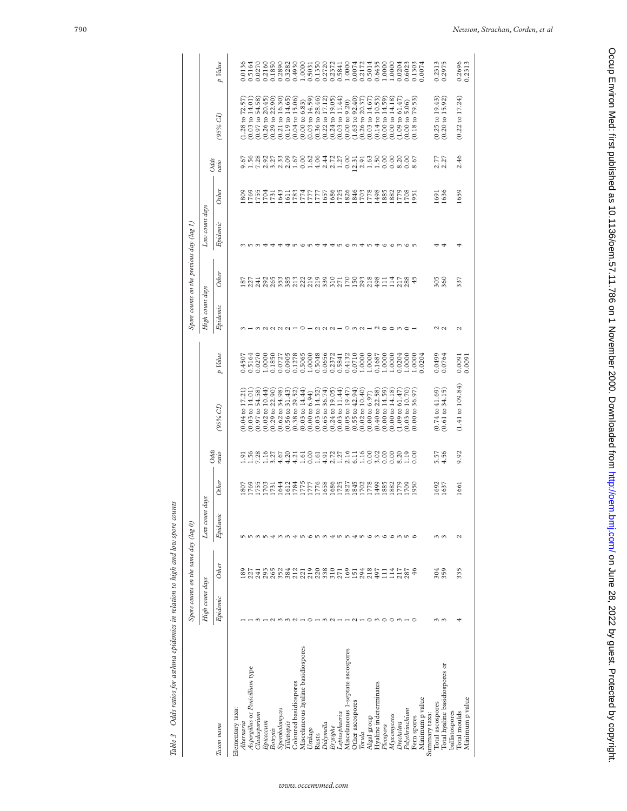|                                    |                   | Spore counts on the same day (lag 0) |                       |                                       |                                                   |                                                          |                                      |                     | Spore counts on the previous day (lag $I$ )                                                                                                             |                |                      |                      |                                                          |                                                                                                      |
|------------------------------------|-------------------|--------------------------------------|-----------------------|---------------------------------------|---------------------------------------------------|----------------------------------------------------------|--------------------------------------|---------------------|---------------------------------------------------------------------------------------------------------------------------------------------------------|----------------|----------------------|----------------------|----------------------------------------------------------|------------------------------------------------------------------------------------------------------|
|                                    | High count days   |                                      | Low count             | days                                  | Odds                                              |                                                          |                                      | High count days     |                                                                                                                                                         | Low count days |                      | Odds                 |                                                          |                                                                                                      |
| Тахоп пате                         | Epidenic          | Other                                | Epidemic              | Other                                 | ratio                                             | 95% CI)                                                  | p Value                              | Epidenic            | Other                                                                                                                                                   | Epidemic       | Other                | ratio                | (D %26                                                   | p Value                                                                                              |
| Elementary taxa:                   |                   |                                      |                       |                                       |                                                   |                                                          |                                      |                     |                                                                                                                                                         |                |                      |                      |                                                          |                                                                                                      |
| Alternaria                         |                   | <b>S</b>                             |                       | 807                                   | $\overline{9}$                                    | to 17.21<br>0.04                                         | 0.4507                               |                     |                                                                                                                                                         |                | 809                  |                      | to 72.57<br>(1.28)                                       | 0.0136                                                                                               |
| Aspergillus or Penicillium type    |                   | 227                                  |                       |                                       |                                                   | $0.03$ to $14.01$                                        | 0.5164                               |                     |                                                                                                                                                         |                | 769                  |                      | $(0.03 \text{ to } 14.01$                                | 0.5164                                                                                               |
| $\alpha$ dosporium                 |                   | 241                                  | $n \omega$            | 1769<br>1755<br>1731                  |                                                   | $(0.97 \text{ to } 54.58)$                               | 0.0270                               |                     |                                                                                                                                                         |                |                      |                      | $(0.97$ to 54.58                                         | 0.0270                                                                                               |
| Epicoccum                          |                   | 293                                  |                       |                                       |                                                   | $0.02$ to $10.44$                                        | 1.0000                               |                     |                                                                                                                                                         |                |                      |                      | $(0.26 \text{ to } 20.45)$                               |                                                                                                      |
| Botrytis                           |                   | 265                                  | ᡪ                     |                                       |                                                   |                                                          | 0.1850                               |                     |                                                                                                                                                         |                | 1753<br>1704<br>1731 |                      |                                                          | 0.2160<br>0.1850                                                                                     |
| Sporobolomyces                     |                   | 352                                  |                       |                                       |                                                   | $(0.29 \text{ to } 22.90)$<br>$(0.62 \text{ to } 34.98)$ | 0.0727                               |                     |                                                                                                                                                         |                |                      |                      | $(0.29 \text{ to } 22.90)$<br>$(0.21 \text{ to } 16.30)$ |                                                                                                      |
| <b><i><u>Cilletiopsis</u></i></b>  |                   | 384                                  |                       | 8221112<br>211112<br>221112           |                                                   | $0.56$ to $31.43$                                        | 0.0905                               |                     |                                                                                                                                                         |                |                      |                      | $(0.19 \text{ to } 14.65)$                               | 0.2890<br>0.3282                                                                                     |
| Coloured basidiospores             |                   |                                      |                       |                                       |                                                   | $(0.38 \text{ to } 29.52)$                               | 0.1278<br>0.5065<br>1.0000<br>0.5048 |                     |                                                                                                                                                         |                |                      |                      | $(0.04 \text{ to } 15.06)$                               |                                                                                                      |
| Miscelaneous hyaline basidiospores |                   |                                      |                       |                                       |                                                   | $(0.03 \text{ to } 14.44)$                               |                                      |                     |                                                                                                                                                         |                |                      |                      | (0.00 to 6.83)                                           |                                                                                                      |
| Ustilago                           |                   |                                      |                       |                                       |                                                   | $(0.00 \text{ to } 6.94)$                                |                                      |                     |                                                                                                                                                         |                |                      |                      | $(0.03 \text{ to } 14.59)$                               |                                                                                                      |
| Rusts                              |                   |                                      |                       |                                       |                                                   | $0.03$ to 14.52                                          |                                      |                     |                                                                                                                                                         |                |                      |                      | $(0.36 \text{ to } 28.46)$                               |                                                                                                      |
| Didymella                          | $\sim$            | 233333755574                         | cnm tnn tn cm com n c |                                       |                                                   | $0.65$ to 36.74                                          | 0.0656                               | $QQQ -$             | E N T N U M M M M N O O O O O U O O M 80 O T T N 80<br>80 N T O N U M M N N N N N N N N N N N T T N 80<br>80 N N N N M N N N N N N N N N N N N T T N 80 |                |                      |                      | $(0.22 \text{ to } 17.12)$<br>$(0.24 \text{ to } 19.05)$ | $\begin{array}{l} 0.4930 \\ 1.0000 \\ 0.5031 \\ 0.1350 \\ 0.2720 \\ 0.2372 \\ 0.3372 \\ \end{array}$ |
| Erysiphe                           | $\sim$            |                                      |                       |                                       |                                                   | $(0.24 \text{ to } 19.05)$                               | 0.2372                               |                     |                                                                                                                                                         |                |                      |                      |                                                          |                                                                                                      |
| Leptosphaeria                      |                   |                                      |                       |                                       |                                                   | $(0.03 \text{ to } 11.44)$                               | 0.5841                               |                     |                                                                                                                                                         |                |                      |                      | $(0.03 \text{ to } 11.44)$                               |                                                                                                      |
| Miscelaneous 1-septate ascospores  |                   |                                      |                       | 1686<br>17827<br>1845<br>1778<br>1789 |                                                   | $0.05$ to 19.47                                          | 0.4132                               | - o m n – n o o m o |                                                                                                                                                         |                |                      |                      | (0.00 to 9.20)                                           | 1.0000                                                                                               |
| Other ascospores                   |                   |                                      |                       |                                       |                                                   | $(0.55 \text{ to } 42.94)$                               | 0.0710                               |                     |                                                                                                                                                         |                |                      | $\frac{12.31}{2.91}$ | $(1.63 \text{ to } 92.40)$                               | 0.0074                                                                                               |
| Torula                             |                   |                                      |                       |                                       |                                                   | $0.02$ to $10.40$                                        | 1.0000                               |                     |                                                                                                                                                         |                |                      |                      | $(0.26 \text{ to } 20.37)$                               | 0.2172                                                                                               |
| Algal group                        | $\circ$           | 218                                  |                       |                                       |                                                   | $(0.00 \text{ to } 6.97)$                                | 1.0000                               |                     |                                                                                                                                                         |                |                      |                      | $(0.03 \text{ to } 14.67)$                               | 0.5014                                                                                               |
| Hyaline indeterminates             | $m \circ \circ m$ | 497                                  |                       |                                       |                                                   | $(0.40 \text{ to } 22.58)$                               | 0.1687                               |                     |                                                                                                                                                         |                |                      |                      | $(0.14 \text{ to } 10.53)$                               | 0.6435                                                                                               |
| Pleospora                          |                   | $\Xi$                                |                       | 1885                                  |                                                   | $(0.00 \text{ to } 14.59)$                               | 1.0000                               |                     |                                                                                                                                                         |                | 1882                 |                      | $(0.00 \text{ to } 14.59)$                               |                                                                                                      |
| $M$ yxomycetes                     |                   | 114                                  |                       | 882<br>1709<br>1709                   |                                                   | $(0.00 \text{ to } 14.18)$                               | 1.0000                               |                     |                                                                                                                                                         |                |                      |                      | $(0.00 \text{ to } 14.18)$                               |                                                                                                      |
| Drechslera                         |                   | 217<br>287                           |                       |                                       |                                                   | 1.09 to 61.47                                            | 0.0204                               |                     |                                                                                                                                                         |                |                      |                      | $(1.09 \text{ to } 61.47)$                               |                                                                                                      |
| Polythrinchium                     |                   |                                      |                       |                                       | $\begin{array}{c} 20 \\ 1.10 \\ 0.00 \end{array}$ | $0.03$ to $10.70$                                        | 1.0000                               |                     |                                                                                                                                                         |                | 1779<br>1708<br>1951 |                      |                                                          | $\begin{array}{l} 1.0000 \\ 1.0000 \\ 0.0204 \\ 0.6023 \\ 0.6033 \end{array}$                        |
| Fern spores                        |                   | $\frac{6}{3}$                        |                       | 1950                                  |                                                   | $(0.00 \text{ to } 36.97)$                               | 1.0000                               |                     | 45                                                                                                                                                      |                |                      |                      | $[0.00~{\rm to}~5.06)$ $(0.18~{\rm to}~79.53)$           |                                                                                                      |
| Minimum p value                    |                   |                                      |                       |                                       |                                                   |                                                          | 0204                                 |                     |                                                                                                                                                         |                |                      |                      |                                                          | 0.0074                                                                                               |
| Summary taxa:                      |                   |                                      |                       |                                       |                                                   |                                                          |                                      |                     |                                                                                                                                                         |                |                      |                      |                                                          |                                                                                                      |
| Total ascospores                   |                   | 304                                  | $\omega$ $\omega$     | 1692                                  | 5.57<br>4.56                                      | $(0.74 \text{ to } 41.69)$                               | 0.0499                               | U U                 | 305                                                                                                                                                     |                | 1691<br>1636         | 2.77<br>2.27         |                                                          |                                                                                                      |
| Total hyaline basidiospores or     |                   | 359                                  |                       | 1637                                  |                                                   | $(0.61 \text{ to } 34.15)$                               | 0.0764                               |                     | 360                                                                                                                                                     |                |                      |                      | $(0.25$ to $19.43)$<br>$(0.20$ to $15.92)$               | 0.2313                                                                                               |
| ballistospores                     |                   |                                      |                       |                                       |                                                   |                                                          |                                      |                     |                                                                                                                                                         |                |                      |                      |                                                          |                                                                                                      |
| Minimum p value<br>Total moulds    |                   | 335                                  | $\sim$                | 1661                                  | 9.92                                              | $(1.41 \text{ to } 109.84)$                              | 0.0091                               | N                   | 337                                                                                                                                                     |                | 1659                 | 2.46                 | $(0.22 \text{ to } 17.24)$                               | 0.2696<br>0.2313                                                                                     |
|                                    |                   |                                      |                       |                                       |                                                   |                                                          |                                      |                     |                                                                                                                                                         |                |                      |                      |                                                          |                                                                                                      |

Table 3 Odds ratios for asthma epidemics in relation to high and low spore counts Table 3 Odds ratios for asthma epidemics in relation to high and low spore counts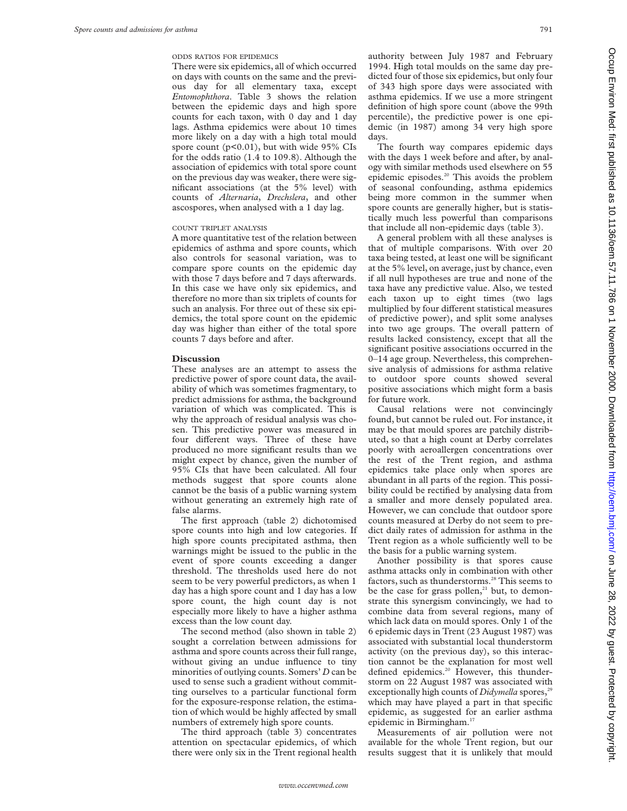ODDS RATIOS FOR EPIDEMICS

There were six epidemics, all of which occurred on days with counts on the same and the previous day for all elementary taxa, except *Entomophthora*. Table 3 shows the relation between the epidemic days and high spore counts for each taxon, with 0 day and 1 day lags. Asthma epidemics were about 10 times more likely on a day with a high total mould spore count (p<0.01), but with wide 95% CIs for the odds ratio (1.4 to 109.8). Although the association of epidemics with total spore count on the previous day was weaker, there were significant associations (at the 5% level) with counts of *Alternaria*, *Drechslera*, and other ascospores, when analysed with a 1 day lag.

# COUNT TRIPLET ANALYSIS

A more quantitative test of the relation between epidemics of asthma and spore counts, which also controls for seasonal variation, was to compare spore counts on the epidemic day with those 7 days before and 7 days afterwards. In this case we have only six epidemics, and therefore no more than six triplets of counts for such an analysis. For three out of these six epidemics, the total spore count on the epidemic day was higher than either of the total spore counts 7 days before and after.

### **Discussion**

These analyses are an attempt to assess the predictive power of spore count data, the availability of which was sometimes fragmentary, to predict admissions for asthma, the background variation of which was complicated. This is why the approach of residual analysis was chosen. This predictive power was measured in four different ways. Three of these have produced no more significant results than we might expect by chance, given the number of 95% CIs that have been calculated. All four methods suggest that spore counts alone cannot be the basis of a public warning system without generating an extremely high rate of false alarms.

The first approach (table 2) dichotomised spore counts into high and low categories. If high spore counts precipitated asthma, then warnings might be issued to the public in the event of spore counts exceeding a danger threshold. The thresholds used here do not seem to be very powerful predictors, as when 1 day has a high spore count and 1 day has a low spore count, the high count day is not especially more likely to have a higher asthma excess than the low count day.

The second method (also shown in table 2) sought a correlation between admissions for asthma and spore counts across their full range, without giving an undue influence to tiny minorities of outlying counts. Somers' *D* can be used to sense such a gradient without committing ourselves to a particular functional form for the exposure-response relation, the estimation of which would be highly affected by small numbers of extremely high spore counts.

The third approach (table 3) concentrates attention on spectacular epidemics, of which there were only six in the Trent regional health authority between July 1987 and February 1994. High total moulds on the same day predicted four of those six epidemics, but only four of 343 high spore days were associated with asthma epidemics. If we use a more stringent definition of high spore count (above the 99th percentile), the predictive power is one epidemic (in 1987) among 34 very high spore days.

The fourth way compares epidemic days with the days 1 week before and after, by analogy with similar methods used elsewhere on 55 epidemic episodes.20 This avoids the problem of seasonal confounding, asthma epidemics being more common in the summer when spore counts are generally higher, but is statistically much less powerful than comparisons that include all non-epidemic days (table 3).

A general problem with all these analyses is that of multiple comparisons. With over 20 taxa being tested, at least one will be significant at the 5% level, on average, just by chance, even if all null hypotheses are true and none of the taxa have any predictive value. Also, we tested each taxon up to eight times (two lags multiplied by four different statistical measures of predictive power), and split some analyses into two age groups. The overall pattern of results lacked consistency, except that all the significant positive associations occurred in the 0–14 age group. Nevertheless, this comprehensive analysis of admissions for asthma relative to outdoor spore counts showed several positive associations which might form a basis for future work.

Causal relations were not convincingly found, but cannot be ruled out. For instance, it may be that mould spores are patchily distributed, so that a high count at Derby correlates poorly with aeroallergen concentrations over the rest of the Trent region, and asthma epidemics take place only when spores are abundant in all parts of the region. This possibility could be rectified by analysing data from a smaller and more densely populated area. However, we can conclude that outdoor spore counts measured at Derby do not seem to predict daily rates of admission for asthma in the Trent region as a whole sufficiently well to be the basis for a public warning system.

Another possibility is that spores cause asthma attacks only in combination with other factors, such as thunderstorms.<sup>28</sup> This seems to be the case for grass pollen,<sup>21</sup> but, to demonstrate this synergism convincingly, we had to combine data from several regions, many of which lack data on mould spores. Only 1 of the 6 epidemic days in Trent (23 August 1987) was associated with substantial local thunderstorm activity (on the previous day), so this interaction cannot be the explanation for most well defined epidemics.<sup>20</sup> However, this thunderstorm on 22 August 1987 was associated with exceptionally high counts of *Didymella* spores,<sup>2</sup> which may have played a part in that specific epidemic, as suggested for an earlier asthma epidemic in Birmingham.<sup>17</sup>

Measurements of air pollution were not available for the whole Trent region, but our results suggest that it is unlikely that mould